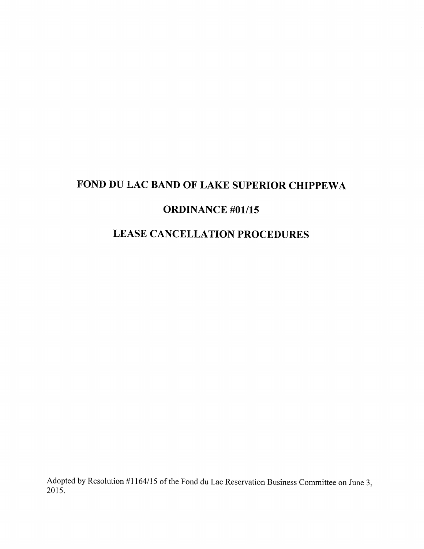# FOND DU LAC BAND OF LAKE SUPERIOR CHIPPEWA

## ORDINANCE #01/15

## LEASE CANCELLATION PROCEDURES

Adopted by Resolution #1164/15 of the Fond du Lac Reservation Business Committee on June 3, 2015.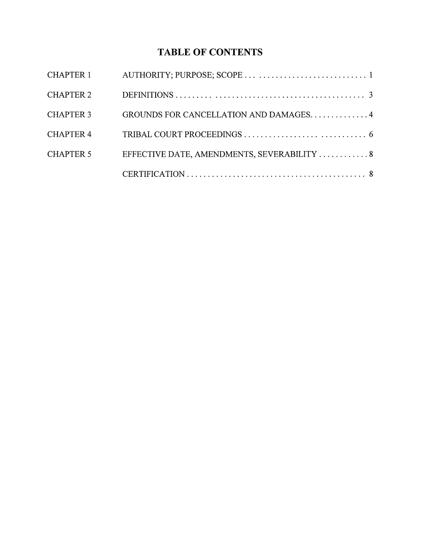## TABLE OF CONTENTS

| CHAPTER 1        |                                             |  |
|------------------|---------------------------------------------|--|
| <b>CHAPTER 2</b> |                                             |  |
| <b>CHAPTER 3</b> | GROUNDS FOR CANCELLATION AND DAMAGES. 4     |  |
| <b>CHAPTER 4</b> |                                             |  |
| <b>CHAPTER 5</b> | EFFECTIVE DATE, AMENDMENTS, SEVERABILITY  8 |  |
|                  |                                             |  |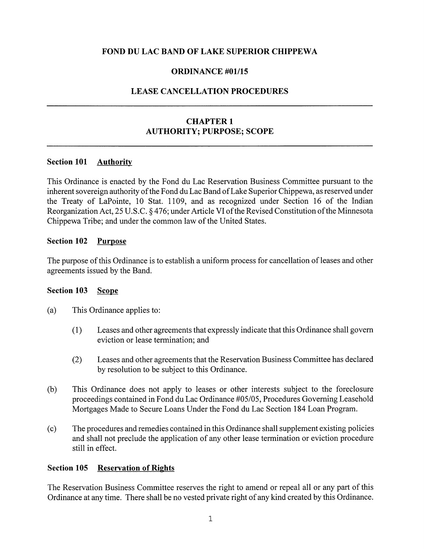## FOND DU LAC BAND OF LAKE SUPERIOR CHIPPEWA

## ORDINANCE #01/15

## LEASE CANCELLATION PROCEDURES

## CHAPTER <sup>1</sup> AUTHORITY; PURPOSE; SCOPE

#### Section 101 **Authority**

This Ordinance is enacted by the Fond du Lac Reservation Business Committee pursuant to the inherent sovereign authority of the Fond du Lac Band of Lake Superior Chippewa, as reserved under the Treaty of LaPointe, 10 Stat. 1109, and as recognized under Section 16 of the Indian Reorganization Act, 25 U.S.C. § 476; under Article VI of the Revised Constitution of the Minnesota Chippewa Tribe; and under the common law of the United States.

#### Section 102 Purpose

The purpose of this Ordinance is to establish a uniform process for cancellation of leases and other agreements issued by the Band.

#### Section 103 Scope

- (a) This Ordinance applies to:
	- (1) Leases and other agreements that expressly indicate that this Ordinance shall govern eviction or lease termination; and
	- (2) Leases and other agreements that the Reservation Business Committee has declared by resolution to be subject to this Ordinance.
- (b) This Ordinance does not apply to leases or other interests subject to the foreclosure proceedings contained in Fond du Lac Ordinance #05/05, Procedures Governing Leasehold Mortgages Made to Secure Loans Under the Fond du Lac Section 184 Loan Program.
- (c) The procedures and remedies contained in this Ordinance shall supplement existing policies and shall not preclude the application of any other lease termination or eviction procedure still in effect.

#### Section 105 Reservation of Rights

The Reservation Business Committee reserves the right to amend or repeal all or any part of this Ordinance at any time. There shall be no vested private right of any kind created by this Ordinance.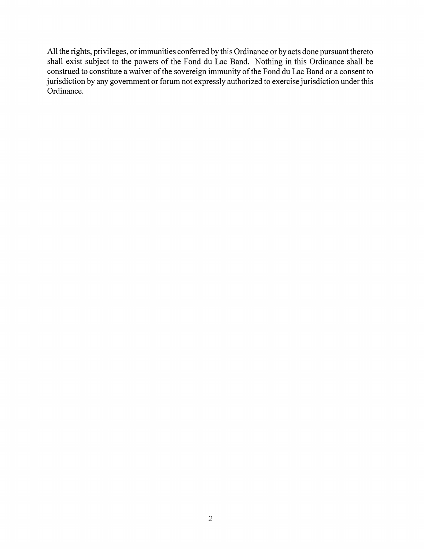All the rights, privileges, or immunities conferred by this Ordinance or by acts done pursuant thereto shall exist subject to the powers of the Fond du Lac Band. Nothing in this Ordinance shall be construed to constitute a waiver of the sovereign immunity of the Fond du Lac Band or a consent to jurisdiction by any government or forum not expressly authorized to exercise jurisdiction under this Ordinance.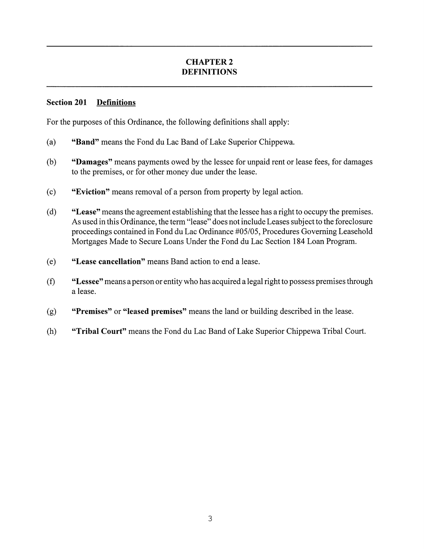## CHAPTER 2 DEFINITIONS

## Section 201 Definitions

For the purposes of this Ordinance, the following definitions shall apply:

- (a) **"Band"** means the Fond du Lac Band of Lake Superior Chippewa.
- (b) "Damages" means payments owed by the lessee for unpaid rent or lease fees, for damages to the premises, or for other money due under the lease.
- (c) "Eviction" means removal of a person from property by legal action.
- (d) "Lease" means the agreement establishing that the lessee has a right to occupy the premises. As used in this Ordinance, the term "lease" does not include Leases subject to the foreclosure proceedings contained in Fond du Lae Ordinance #05/05, Procedures Governing Leasehold Mortgages Made to Secure Loans Under the Fond du Lae Section 184 Loan Program.
- (e) "Lease cancellation" means Band action to end a lease.
- $(f)$  "Lessee" means a person or entity who has acquired a legal right to possess premises through a lease.
- (g) "Premises" or "leased premises" means the land or building described in the lease.
- (h) "Tribal Court" means the Fond du Lac Band of Lake Superior Chippewa Tribal Court.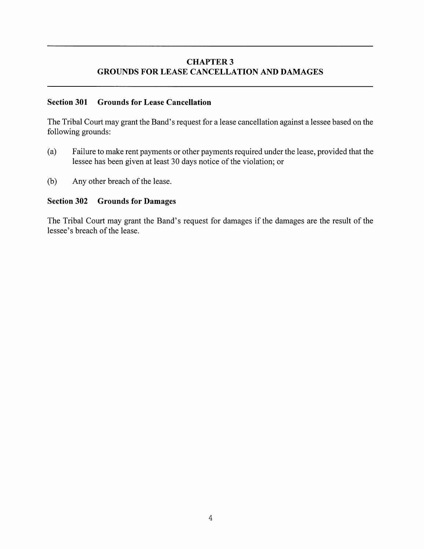## **CHAPTER 3** GROUNDS FOR LEASE CANCELLATION AND DAMAGES

#### Section 301 Grounds for Lease Cancellation

The Tribal Court may grant the Band's request for a lease cancellation against a lessee based on the following grounds:

- (a) Failure to make rent payments or other payments required under the lease, provided that the lessee has been given at least 30 days notice of the violation; or
- (b) Any other breach of the lease.

## Section 302 Grounds for Damages

The Tribal Court may grant the Band's request for damages if the damages are the result of the lessee's breach of the lease.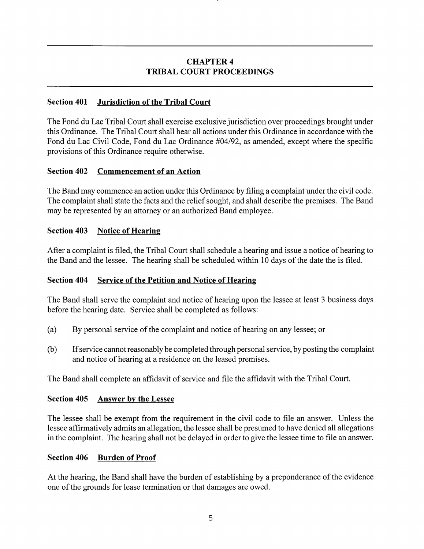## CHAPTER 4 TRIBAL COURT PROCEEDINGS

## Section 401 Jurisdiction of the Tribal Court

The Fond du Lac Tribal Court shall exercise exclusive jurisdiction over proceedings brought under this Ordinance. The Tribal Court shall hear all actions under this Ordinance in accordance with the Fond du Lac Civil Code, Fond du Lac Ordinance #04/92, as amended, except where the specific provisions of this Ordinance require otherwise.

## Section 402 Commencement of an Action

The Band may commence an action under this Ordinance by filing a complaint under the civil code. The complaint shall state the facts and the relief sought, and shall describe the premises. The Band may be represented by an attorney or an authorized Band employee.

## Section 403 Notice of Hearing

After a complaint is filed, the Tribal Court shall schedule a hearing and issue a notice of hearing to the Band and the lessee. The hearing shall be scheduled within 10 days of the date the is filed.

## Section 404 Service of the Petition and Notice of Hearing

The Band shall serve the complaint and notice of hearing upon the lessee at least 3 business days before the hearing date. Service shall be completed as follows:

- (a) By personal service of the complaint and notice of hearing on any lessee; or
- (b) Ifservice cannotreasonably be completed through personal service, by posting the complaint and notice of hearing at a residence on the leased premises.

The Band shall complete an affidavit of service and file the affidavit with the Tribal Court.

## Section 405 Answer by the Lessee

The lessee shall be exempt from the requirement in the civil code to file an answer. Unless the lessee affirmatively admits an allegation, the lessee shall be presumed to have denied all allegations in the complaint. The hearing shall not be delayed in order to give the lessee time to file an answer.

#### Section 406 Burden of Proof

At the hearing, the Band shall have the burden of establishing by a preponderance of the evidence one ofthe grounds for lease termination or that damages are owed.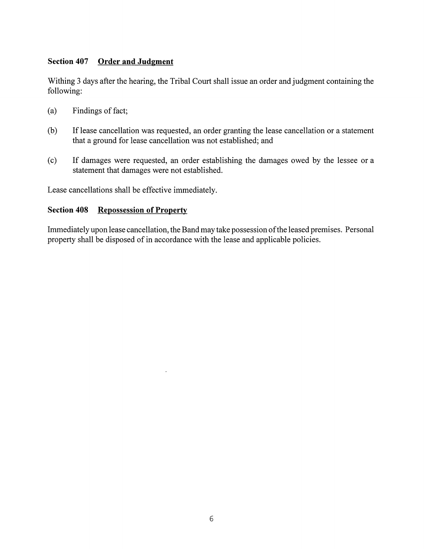## Section 407 Order and Judgment

Withing 3 days after the hearing, the Tribal Court shall issue an order and judgment containing the following:

- $(a)$  Findings of fact;
- (b) If lease cancellation was requested, an order granting the lease cancellation or a statement that a ground for lease cancellation was not established; and
- (e) If damages were requested, an order establishing the damages owed by the lessee or a statement that damages were not established.

Lease cancellations shall be effective immediately.

## Section 408 Repossession of Property

Immediately upon lease cancellation, the Band may take possession ofthe leased premises. Personal property shall be disposed of in accordance with the lease and applicable policies.